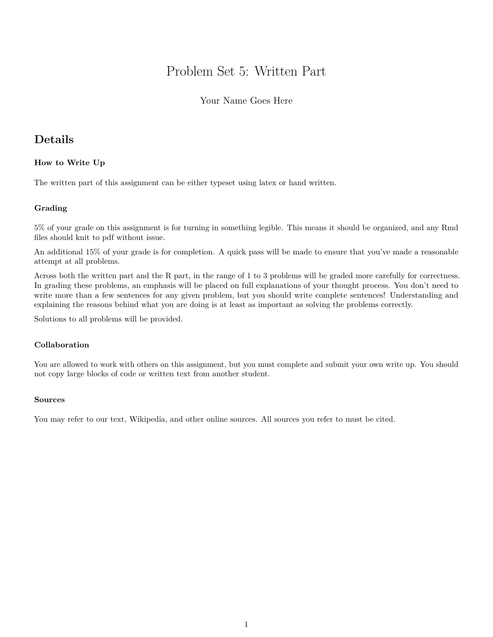# Problem Set 5: Written Part

#### Your Name Goes Here

## **Details**

#### **How to Write Up**

The written part of this assignment can be either typeset using latex or hand written.

#### **Grading**

5% of your grade on this assignment is for turning in something legible. This means it should be organized, and any Rmd files should knit to pdf without issue.

An additional 15% of your grade is for completion. A quick pass will be made to ensure that you've made a reasonable attempt at all problems.

Across both the written part and the R part, in the range of 1 to 3 problems will be graded more carefully for correctness. In grading these problems, an emphasis will be placed on full explanations of your thought process. You don't need to write more than a few sentences for any given problem, but you should write complete sentences! Understanding and explaining the reasons behind what you are doing is at least as important as solving the problems correctly.

Solutions to all problems will be provided.

#### **Collaboration**

You are allowed to work with others on this assignment, but you must complete and submit your own write up. You should not copy large blocks of code or written text from another student.

#### **Sources**

You may refer to our text, Wikipedia, and other online sources. All sources you refer to must be cited.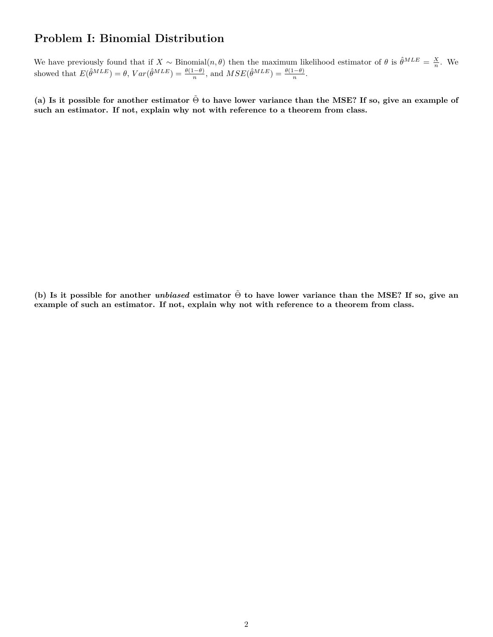# **Problem I: Binomial Distribution**

We have previously found that if  $X \sim \text{Binomial}(n, \theta)$  then the maximum likelihood estimator of  $\theta$  is  $\hat{\theta}^{MLE} = \frac{X}{n}$ . We showed that  $E(\hat{\theta}^{MLE}) = \theta$ ,  $Var(\hat{\theta}^{MLE}) = \frac{\theta(1-\theta)}{n}$ , and  $MSE(\hat{\theta}^{MLE}) = \frac{\theta(1-\theta)}{n}$ .

**(a) Is it possible for another estimator** Θ˜ **to have lower variance than the MSE? If so, give an example of such an estimator. If not, explain why not with reference to a theorem from class.**

**(b) Is it possible for another** *unbiased* **estimator** Θ˜ **to have lower variance than the MSE? If so, give an example of such an estimator. If not, explain why not with reference to a theorem from class.**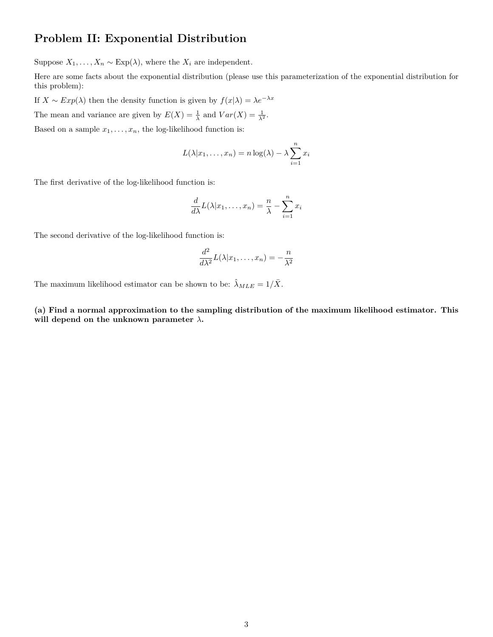### **Problem II: Exponential Distribution**

Suppose  $X_1, \ldots, X_n \sim \text{Exp}(\lambda)$ , where the  $X_i$  are independent.

Here are some facts about the exponential distribution (please use this parameterization of the exponential distribution for this problem):

If  $X \sim Exp(\lambda)$  then the density function is given by  $f(x|\lambda) = \lambda e^{-\lambda x}$ 

The mean and variance are given by  $E(X) = \frac{1}{\lambda}$  and  $Var(X) = \frac{1}{\lambda^2}$ .

Based on a sample  $x_1, \ldots, x_n$ , the log-likelihood function is:

$$
L(\lambda | x_1, \dots, x_n) = n \log(\lambda) - \lambda \sum_{i=1}^n x_i
$$

The first derivative of the log-likelihood function is:

$$
\frac{d}{d\lambda}L(\lambda|x_1,\ldots,x_n)=\frac{n}{\lambda}-\sum_{i=1}^nx_i
$$

The second derivative of the log-likelihood function is:

$$
\frac{d^2}{d\lambda^2}L(\lambda|x_1,\ldots,x_n)=-\frac{n}{\lambda^2}
$$

The maximum likelihood estimator can be shown to be:  $\hat{\lambda}_{MLE} = 1/\bar{X}$ .

**(a) Find a normal approximation to the sampling distribution of the maximum likelihood estimator. This will depend on the unknown parameter** *λ***.**